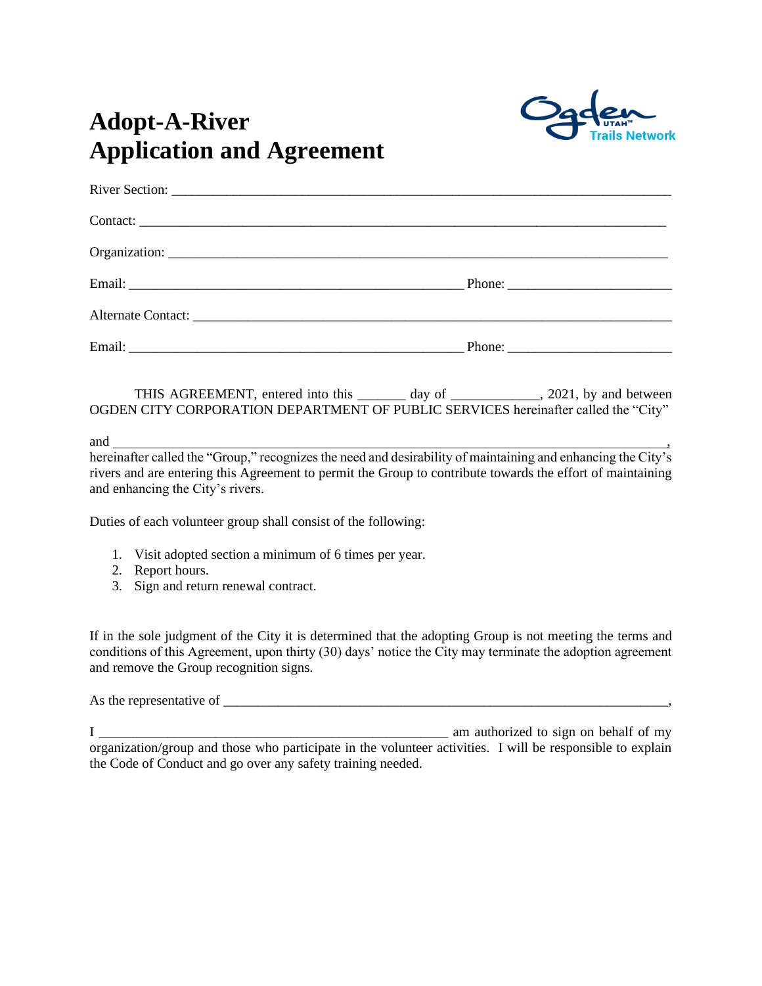

# **Adopt-A-River Application and Agreement**

| Contact: |  |
|----------|--|
|          |  |
|          |  |
|          |  |
|          |  |

THIS AGREEMENT, entered into this \_\_\_\_\_\_\_ day of \_\_\_\_\_\_\_\_\_\_\_, 2021, by and between OGDEN CITY CORPORATION DEPARTMENT OF PUBLIC SERVICES hereinafter called the "City"

and  $\overline{\phantom{a}}$ , and  $\overline{\phantom{a}}$ , and  $\overline{\phantom{a}}$ , and  $\overline{\phantom{a}}$ , and  $\overline{\phantom{a}}$ , and  $\overline{\phantom{a}}$ , and  $\overline{\phantom{a}}$ , and  $\overline{\phantom{a}}$ , and  $\overline{\phantom{a}}$ , and  $\overline{\phantom{a}}$ , and  $\overline{\phantom{a}}$ , and  $\overline{\phantom{a}}$ , and  $\overline{\phantom{a}}$ ,

hereinafter called the "Group," recognizes the need and desirability of maintaining and enhancing the City's rivers and are entering this Agreement to permit the Group to contribute towards the effort of maintaining and enhancing the City's rivers.

Duties of each volunteer group shall consist of the following:

- 1. Visit adopted section a minimum of 6 times per year.
- 2. Report hours.
- 3. Sign and return renewal contract.

If in the sole judgment of the City it is determined that the adopting Group is not meeting the terms and conditions of this Agreement, upon thirty (30) days' notice the City may terminate the adoption agreement and remove the Group recognition signs.

As the representative of  $\overline{a}$ 

I \_\_\_\_\_\_\_\_\_\_\_\_\_\_\_\_\_\_\_\_\_\_\_\_\_\_\_\_\_\_\_\_\_\_\_\_\_\_\_\_\_\_\_\_\_\_\_\_\_\_\_ am authorized to sign on behalf of my organization/group and those who participate in the volunteer activities. I will be responsible to explain the Code of Conduct and go over any safety training needed.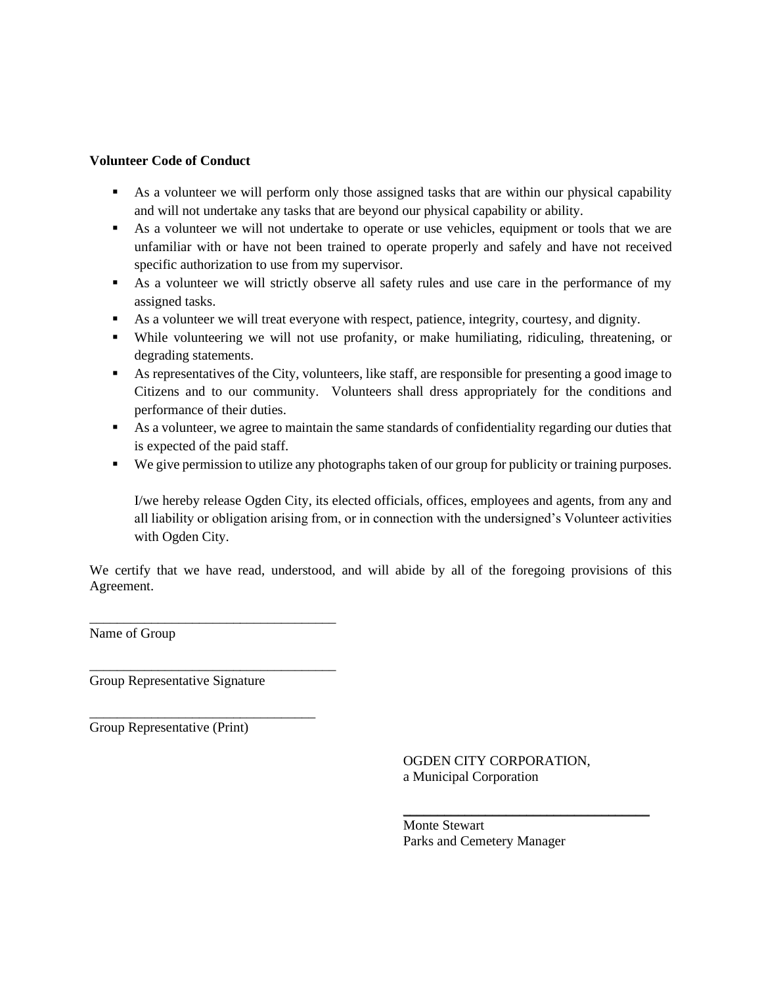#### **Volunteer Code of Conduct**

- As a volunteer we will perform only those assigned tasks that are within our physical capability and will not undertake any tasks that are beyond our physical capability or ability.
- As a volunteer we will not undertake to operate or use vehicles, equipment or tools that we are unfamiliar with or have not been trained to operate properly and safely and have not received specific authorization to use from my supervisor.
- As a volunteer we will strictly observe all safety rules and use care in the performance of my assigned tasks.
- As a volunteer we will treat everyone with respect, patience, integrity, courtesy, and dignity.
- While volunteering we will not use profanity, or make humiliating, ridiculing, threatening, or degrading statements.
- As representatives of the City, volunteers, like staff, are responsible for presenting a good image to Citizens and to our community. Volunteers shall dress appropriately for the conditions and performance of their duties.
- As a volunteer, we agree to maintain the same standards of confidentiality regarding our duties that is expected of the paid staff.
- We give permission to utilize any photographs taken of our group for publicity or training purposes.

I/we hereby release Ogden City, its elected officials, offices, employees and agents, from any and all liability or obligation arising from, or in connection with the undersigned's Volunteer activities with Ogden City.

We certify that we have read, understood, and will abide by all of the foregoing provisions of this Agreement.

Name of Group

Group Representative Signature

\_\_\_\_\_\_\_\_\_\_\_\_\_\_\_\_\_\_\_\_\_\_\_\_\_\_\_\_\_\_\_\_\_\_\_\_

\_\_\_\_\_\_\_\_\_\_\_\_\_\_\_\_\_\_\_\_\_\_\_\_\_\_\_\_\_\_\_\_\_\_\_\_

\_\_\_\_\_\_\_\_\_\_\_\_\_\_\_\_\_\_\_\_\_\_\_\_\_\_\_\_\_\_\_\_\_

Group Representative (Print)

OGDEN CITY CORPORATION, a Municipal Corporation

 $\overline{\phantom{a}}$  , where  $\overline{\phantom{a}}$  , where  $\overline{\phantom{a}}$  , where  $\overline{\phantom{a}}$  , where  $\overline{\phantom{a}}$ 

Monte Stewart Parks and Cemetery Manager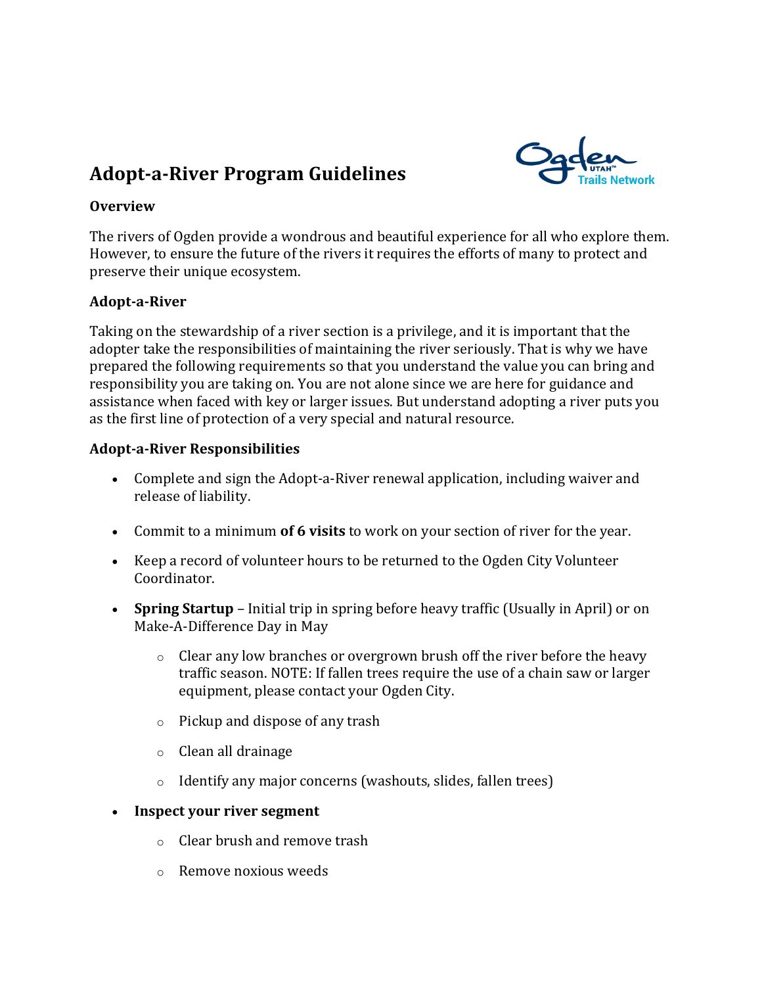## **Adopt-a-River Program Guidelines**



### **Overview**

The rivers of Ogden provide a wondrous and beautiful experience for all who explore them. However, to ensure the future of the rivers it requires the efforts of many to protect and preserve their unique ecosystem.

### **Adopt-a-River**

Taking on the stewardship of a river section is a privilege, and it is important that the adopter take the responsibilities of maintaining the river seriously. That is why we have prepared the following requirements so that you understand the value you can bring and responsibility you are taking on. You are not alone since we are here for guidance and assistance when faced with key or larger issues. But understand adopting a river puts you as the first line of protection of a very special and natural resource.

#### **Adopt-a-River Responsibilities**

- Complete and sign the Adopt-a-River renewal application, including waiver and release of liability.
- Commit to a minimum **of 6 visits** to work on your section of river for the year.
- Keep a record of volunteer hours to be returned to the Ogden City Volunteer Coordinator.
- **Spring Startup** Initial trip in spring before heavy traffic (Usually in April) or on Make-A-Difference Day in May
	- $\circ$  Clear any low branches or overgrown brush off the river before the heavy traffic season. NOTE: If fallen trees require the use of a chain saw or larger equipment, please contact your Ogden City.
	- o Pickup and dispose of any trash
	- o Clean all drainage
	- o Identify any major concerns (washouts, slides, fallen trees)
- **Inspect your river segment**
	- o Clear brush and remove trash
	- o Remove noxious weeds